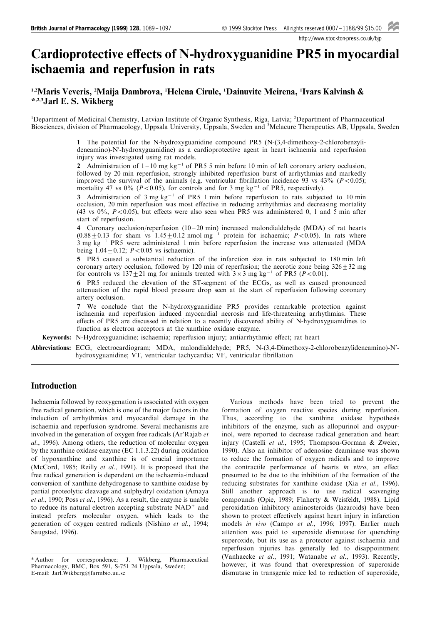http://www.stockton-press.co.uk/bjp

# Cardioprotective effects of N-hydroxyguanidine PR5 in myocardial ischaemia and reperfusion in rats

# 1,2Maris Veveris, <sup>2</sup>Maija Dambrova, <sup>1</sup>Helena Cirule, <sup>1</sup>Dainuvite Meirena, <sup>1</sup>Ivars Kalvinsh & \*,2,3Jarl E. S. Wikberg

<sup>1</sup>Department of Medicinal Chemistry, Latvian Institute of Organic Synthesis, Riga, Latvia; <sup>2</sup>Department of Pharmaceutical Biosciences, division of Pharmacology, Uppsala University, Uppsala, Sweden and <sup>3</sup> Melacure Therapeutics AB, Uppsala, Sweden

> 1 The potential for the N-hydroxyguanidine compound PR5 (N-(3,4-dimethoxy-2-chlorobenzylideneamino)-N'-hydroxyguanidine) as a cardioprotective agent in heart ischaemia and reperfusion injury was investigated using rat models.

> 2 Administration of  $1-10$  mg kg<sup>-1</sup> of PR5 5 min before 10 min of left coronary artery occlusion, followed by 20 min reperfusion, strongly inhibited reperfusion burst of arrhythmias and markedly improved the survival of the animals (e.g. ventricular fibrillation incidence 93 vs 43% ( $P<0.05$ ); mortality 47 vs 0% ( $P<0.05$ ), for controls and for 3 mg kg<sup>-1</sup> of PR5, respectively).

> 3 Administration of 3 mg  $kg<sup>-1</sup>$  of PR5 1 min before reperfusion to rats subjected to 10 min occlusion, 20 min reperfusion was most effective in reducing arrhythmias and decreasing mortality (43 vs 0%,  $P<0.05$ ), but effects were also seen when PR5 was administered 0, 1 and 5 min after start of reperfusion.

> 4 Coronary occlusion/reperfusion  $(10-20 \text{ min})$  increased malondialdehyde (MDA) of rat hearts  $(0.88\pm0.13$  for sham vs  $1.45\pm0.12$  nmol mg<sup>-1</sup> protein for ischaemic;  $P<0.05$ ). In rats where  $3$  mg kg<sup>-1</sup> PR5 were administered 1 min before reperfusion the increase was attenuated (MDA being  $1.04 \pm 0.12$ ;  $P < 0.05$  vs ischaemic).

> 5 PR5 caused a substantial reduction of the infarction size in rats subjected to 180 min left coronary artery occlusion, followed by 120 min of reperfusion; the necrotic zone being  $326 \pm 32$  mg for controls vs  $137 \pm 21$  mg for animals treated with  $3 \times 3$  mg kg<sup>-1</sup> of PR5 (P<0.01).

> 6 PR5 reduced the elevation of the ST-segment of the ECGs, as well as caused pronounced attenuation of the rapid blood pressure drop seen at the start of reperfusion following coronary artery occlusion.

> 7 We conclude that the N-hydroxyguanidine PR5 provides remarkable protection against ischaemia and reperfusion induced myocardial necrosis and life-threatening arrhythmias. These effects of PR5 are discussed in relation to a recently discovered ability of N-hydroxyguanidines to function as electron acceptors at the xanthine oxidase enzyme.

Keywords: N-Hydroxyguanidine; ischaemia; reperfusion injury; antiarrhythmic effect; rat heart

Abbreviations: ECG, electrocardiogram; MDA, malondialdehyde; PR5, N-(3,4-Dimethoxy-2-chlorobenzylideneamino)-N' hydroxyguanidine; VT, ventricular tachycardia; VF, ventricular fibrillation

# Introduction

Ischaemia followed by reoxygenation is associated with oxygen free radical generation, which is one of the major factors in the induction of arrhythmias and myocardial damage in the ischaemia and reperfusion syndrome. Several mechanisms are involved in the generation of oxygen free radicals (Ar'Rajab et al., 1996). Among others, the reduction of molecular oxygen by the xanthine oxidase enzyme (EC 1.1.3.22) during oxidation of hypoxanthine and xanthine is of crucial importance (McCord, 1985; Reilly et al., 1991). It is proposed that the free radical generation is dependent on the ischaemia-induced conversion of xanthine dehydrogenase to xanthine oxidase by partial proteolytic cleavage and sulphydryl oxidation (Amaya et al., 1990; Poss et al., 1996). As a result, the enzyme is unable to reduce its natural electron accepting substrate NAD<sup>+</sup> and instead prefers molecular oxygen, which leads to the generation of oxygen centred radicals (Nishino et al., 1994; Saugstad, 1996).

Various methods have been tried to prevent the formation of oxygen reactive species during reperfusion. Thus, according to the xanthine oxidase hypothesis inhibitors of the enzyme, such as allopurinol and oxypurinol, were reported to decrease radical generation and heart injury (Castelli et al., 1995; Thompson-Gorman & Zweier, 1990). Also an inhibitor of adenosine deaminase was shown to reduce the formation of oxygen radicals and to improve the contractile performance of hearts in vitro, an effect presumed to be due to the inhibition of the formation of the reducing substrates for xanthine oxidase (Xia et al., 1996). Still another approach is to use radical scavenging compounds (Opie, 1989; Flaherty & Weisfeldt, 1988). Lipid peroxidation inhibitory aminosteroids (lazaroids) have been shown to protect effectively against heart injury in infarction models in vivo (Campo et al., 1996; 1997). Earlier much attention was paid to superoxide dismutase for quenching superoxide, but its use as a protector against ischaemia and reperfusion injuries has generally led to disappointment (Vanhaecke et al., 1991; Watanabe et al., 1993). Recently, however, it was found that overexpression of superoxide dismutase in transgenic mice led to reduction of superoxide,

<sup>\*</sup> Author for correspondence; J. Wikberg, Pharmaceutical Pharmacology, BMC, Box 591, S-751 24 Uppsala, Sweden; E-mail: Jarl.Wikberg@farmbio.uu.se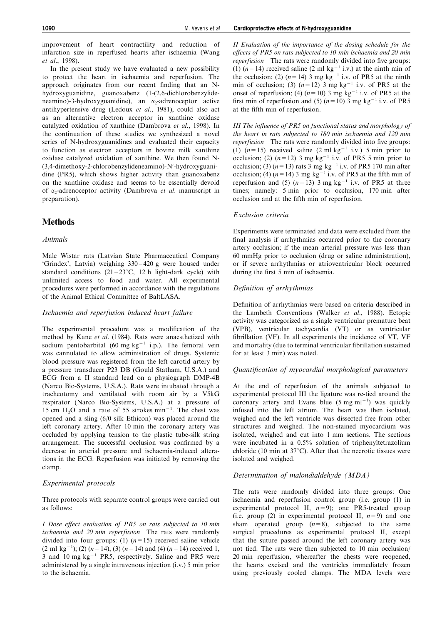improvement of heart contractility and reduction of infarction size in reperfused hearts after ischaemia (Wang et al., 1998).

In the present study we have evaluated a new possibility to protect the heart in ischaemia and reperfusion. The approach originates from our recent finding that an Nhydroxyguanidine, guanoxabenz (1-(2,6-dichlorobenzylideneamino)-3-hydroxyguanidine), an  $\alpha_2$ -adrenoceptor active antihypertensive drug (Ledoux et al., 1981), could also act as an alternative electron acceptor in xanthine oxidase catalyzed oxidation of xanthine (Dambrova et al., 1998). In the continuation of these studies we synthesized a novel series of N-hydroxyguanidines and evaluated their capacity to function as electron acceptors in bovine milk xanthine oxidase catalyzed oxidation of xanthine. We then found N- (3,4-dimethoxy-2-chlorobenzylideneamino)-N'-hydroxyguanidine (PR5), which shows higher activity than guanoxabenz on the xanthine oxidase and seems to be essentially devoid of  $\alpha_2$ -adrenoceptor activity (Dambrova et al. manuscript in preparation).

# **Methods**

## Animals

Male Wistar rats (Latvian State Pharmaceutical Company 'Grindex', Latvia) weighing  $330 - 420$  g were housed under standard conditions  $(21-23\degree C, 12 \text{ h}$  light-dark cycle) with unlimited access to food and water. All experimental procedures were performed in accordance with the regulations of the Animal Ethical Committee of BaltLASA.

## Ischaemia and reperfusion induced heart failure

The experimental procedure was a modification of the method by Kane et al. (1984). Rats were anaesthetized with sodium pentobarbital (60 mg kg<sup>-1</sup> i.p.). The femoral vein was cannulated to allow administration of drugs. Systemic blood pressure was registered from the left carotid artery by a pressure transducer P23 DB (Gould Statham, U.S.A.) and ECG from a II standard lead on a physiograph DMP-4B (Narco Bio-Systems, U.S.A.). Rats were intubated through a tracheotomy and ventilated with room air by a V5kG respirator (Narco Bio-Systems, U.S.A.) at a pressure of 15 cm  $H_2O$  and a rate of 55 strokes min<sup>-1</sup>. The chest was opened and a sling (6/0 silk Ethicon) was placed around the left coronary artery. After 10 min the coronary artery was occluded by applying tension to the plastic tube-silk string arrangement. The successful occlusion was confirmed by a decrease in arterial pressure and ischaemia-induced alterations in the ECG. Reperfusion was initiated by removing the clamp.

# Experimental protocols

Three protocols with separate control groups were carried out as follows:

I Dose effect evaluation of PR5 on rats subjected to 10 min ischaemia and 20 min reperfusion The rats were randomly divided into four groups: (1)  $(n=15)$  received saline vehicle  $(2 \text{ ml kg}^{-1})$ ; (2)  $(n=14)$ , (3)  $(n=14)$  and (4)  $(n=14)$  received 1, 3 and 10 mg  $kg^{-1}$  PR5, respectively. Saline and PR5 were administered by a single intravenous injection (i.v.) 5 min prior to the ischaemia.

II Evaluation of the importance of the dosing schedule for the effects of PR5 on rats subjected to  $10$  min ischaemia and  $20$  min reperfusion The rats were randomly divided into five groups: (1)  $(n=14)$  received saline (2 ml kg<sup>-1</sup> i.v.) at the ninth min of the occlusion; (2)  $(n=14)$  3 mg kg<sup>-1</sup> i.v. of PR5 at the ninth min of occlusion; (3)  $(n=12)$  3 mg kg<sup>-1</sup> i.v. of PR5 at the onset of reperfusion; (4)  $(n=10)$  3 mg kg<sup>-1</sup> i.v. of PR5 at the first min of reperfusion and (5)  $(n=10)$  3 mg kg<sup>-1</sup> i.v. of PR5 at the fifth min of reperfusion.

III The influence of  $PR5$  on functional status and morphology of the heart in rats subjected to 180 min ischaemia and 120 min reperfusion The rats were randomly divided into five groups: (1)  $(n=15)$  received saline  $(2 \text{ ml kg}^{-1} \text{ i.v.})$  5 min prior to occlusion; (2)  $(n=12)$  3 mg kg<sup>-1</sup> i.v. of PR5 5 min prior to occlusion; (3)  $(n=13)$  rats 3 mg kg<sup>-1</sup> i.v. of PR5 170 min after occlusion; (4)  $(n=14)$  3 mg kg<sup>-1</sup> i.v. of PR5 at the fifth min of reperfusion and (5)  $(n=13)$  3 mg kg<sup>-1</sup> i.v. of PR5 at three times; namely: 5 min prior to occlusion, 170 min after occlusion and at the fifth min of reperfusion.

#### Exclusion criteria

Experiments were terminated and data were excluded from the final analysis if arrhythmias occurred prior to the coronary artery occlusion; if the mean arterial pressure was less than 60 mmHg prior to occlusion (drug or saline administration), or if severe arrhythmias or atrioventricular block occurred during the first 5 min of ischaemia.

#### Definition of arrhythmias

Definition of arrhythmias were based on criteria described in the Lambeth Conventions (Walker et al., 1988). Ectopic activity was categorized as a single ventricular premature beat (VPB), ventricular tachycardia (VT) or as ventricular fibrillation (VF). In all experiments the incidence of  $VT$ , VF and mortality (due to terminal ventricular fibrillation sustained for at least 3 min) was noted.

#### Quantification of myocardial morphological parameters

At the end of reperfusion of the animals subjected to experimental protocol III the ligature was re-tied around the coronary artery and Evans blue  $(5 \text{ mg ml}^{-1})$  was quickly infused into the left atrium. The heart was then isolated, weighed and the left ventricle was dissected free from other structures and weighed. The non-stained myocardium was isolated, weighed and cut into 1 mm sections. The sections were incubated in a 0.5% solution of triphenyltetrazolium chloride (10 min at  $37^{\circ}$ C). After that the necrotic tissues were isolated and weighed.

## Determination of malondialdehyde (MDA)

The rats were randomly divided into three groups: One ischaemia and reperfusion control group (i.e. group (1) in experimental protocol II,  $n=9$ ); one PR5-treated group (i.e. group (2) in experimental protocol II,  $n=9$ ) and one sham operated group  $(n=8)$ , subjected to the same surgical procedures as experimental protocol II, except that the suture passed around the left coronary artery was not tied. The rats were then subjected to 10 min occlusion/ 20 min reperfusion, whereafter the chests were reopened, the hearts excised and the ventricles immediately frozen using previously cooled clamps. The MDA levels were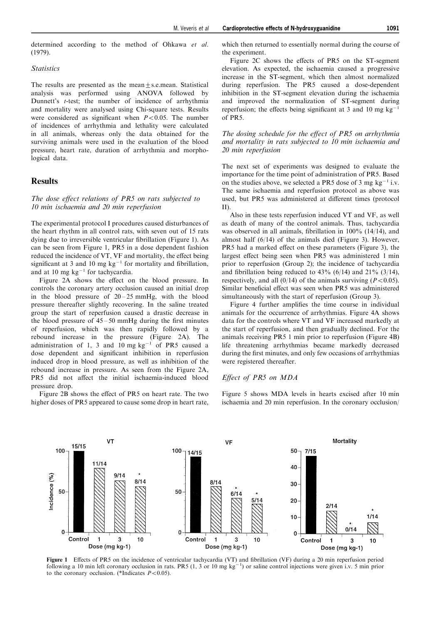#### **Statistics**

(1979).

The results are presented as the mean+s.e.mean. Statistical analysis was performed using ANOVA followed by Dunnett's *t*-test; the number of incidence of arrhythmia and mortality were analysed using Chi-square tests. Results were considered as significant when  $P < 0.05$ . The number of incidences of arrhythmia and lethality were calculated in all animals, whereas only the data obtained for the surviving animals were used in the evaluation of the blood pressure, heart rate, duration of arrhythmia and morphological data.

# **Results**

The dose effect relations of PR5 on rats subjected to 10 min ischaemia and 20 min reperfusion

The experimental protocol I procedures caused disturbances of the heart rhythm in all control rats, with seven out of 15 rats dying due to irreversible ventricular fibrillation (Figure 1). As can be seen from Figure 1, PR5 in a dose dependent fashion reduced the incidence of VT, VF and mortality, the effect being significant at 3 and 10 mg  $kg^{-1}$  for mortality and fibrillation, and at 10 mg  $kg^{-1}$  for tachycardia.

Figure 2A shows the effect on the blood pressure. In controls the coronary artery occlusion caused an initial drop in the blood pressure of  $20 - 25$  mmHg, with the blood pressure thereafter slightly recovering. In the saline treated group the start of reperfusion caused a drastic decrease in the blood pressure of  $45 - 50$  mmHg during the first minutes of reperfusion, which was then rapidly followed by a rebound increase in the pressure (Figure 2A). The administration of 1, 3 and 10 mg  $kg^{-1}$  of PR5 caused a dose dependent and significant inhibition in reperfusion induced drop in blood pressure, as well as inhibition of the rebound increase in pressure. As seen from the Figure 2A, PR5 did not affect the initial ischaemia-induced blood pressure drop.

Figure 2B shows the effect of PR5 on heart rate. The two higher doses of PR5 appeared to cause some drop in heart rate,

which then returned to essentially normal during the course of the experiment.

Figure 2C shows the effects of PR5 on the ST-segment elevation. As expected, the ischaemia caused a progressive increase in the ST-segment, which then almost normalized during reperfusion. The PR5 caused a dose-dependent inhibition in the ST-segment elevation during the ischaemia and improved the normalization of ST-segment during reperfusion; the effects being significant at 3 and 10 mg  $kg^{-1}$ of PR5.

## The dosing schedule for the effect of PR5 on arrhythmia and mortality in rats subjected to 10 min ischaemia and 20 min reperfusion

The next set of experiments was designed to evaluate the importance for the time point of administration of PR5. Based on the studies above, we selected a PR5 dose of 3 mg  $kg^{-1}$  i.v. The same ischaemia and reperfusion protocol as above was used, but PR5 was administered at different times (protocol II).

Also in these tests reperfusion induced VT and VF, as well as death of many of the control animals. Thus, tachycardia was observed in all animals, fibrillation in  $100\%$  (14/14), and almost half (6/14) of the animals died (Figure 3). However, PR5 had a marked effect on these parameters (Figure 3), the largest effect being seen when PR5 was administered 1 min prior to reperfusion (Group 2); the incidence of tachycardia and fibrillation being reduced to  $43\%$  (6/14) and  $21\%$  (3/14), respectively, and all  $(0/14)$  of the animals surviving ( $P < 0.05$ ). Similar beneficial effect was seen when PR5 was administered simultaneously with the start of reperfusion (Group 3).

Figure 4 further amplifies the time course in individual animals for the occurrence of arrhythmias. Figure 4A shows data for the controls where VT and VF increased markedly at the start of reperfusion, and then gradually declined. For the animals receiving PR5 1 min prior to reperfusion (Figure 4B) life threatening arrhythmias became markedly decreased during the first minutes, and only few occasions of arrhythmias were registered thereafter.

#### Effect of PR5 on MDA

Figure 5 shows MDA levels in hearts excised after 10 min ischaemia and 20 min reperfusion. In the coronary occlusion/



Figure 1 Effects of PR5 on the incidence of ventricular tachycardia (VT) and fibrillation (VF) during a 20 min reperfusion period following a 10 min left coronary occlusion in rats. PR5 (1, 3 or 10 mg  $kg^{-1}$ ) or saline control injections were given i.v. 5 min prior to the coronary occlusion. (\*Indicates  $P < 0.05$ ).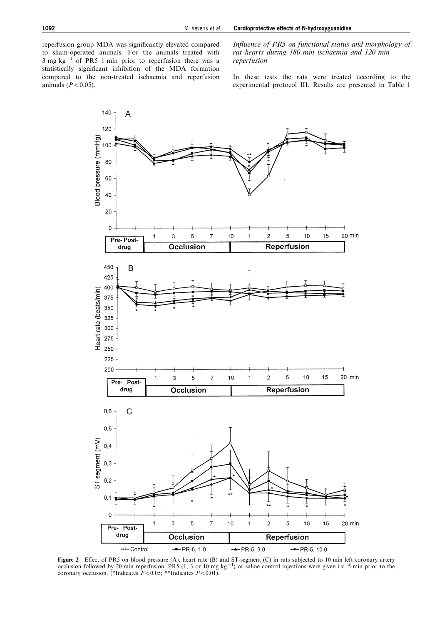reperfusion group MDA was significantly elevated compared to sham-operated animals. For the animals treated with  $3 \text{ mg kg}^{-1}$  of PR5 1 min prior to reperfusion there was a statistically significant inhibition of the MDA formation compared to the non-treated ischaemia and reperfusion animals  $(P<0.05)$ .

Influence of PR5 on functional status and morphology of rat hearts during 180 min ischaemia and 120 min reperfusion

In these tests the rats were treated according to the experimental protocol III. Results are presented in Table 1



Figure 2 Effect of PR5 on blood pressure (A), heart rate (B) and ST-segment (C) in rats subjected to 10 min left coronary artery occlusion followed by 20 min reperfusion. PR5 (1, 3 or 10 mg kg<sup>-1</sup>) or saline control injections were given i.v. 5 min prior to the coronary occlusion. (\*Indicates  $P<0.05$ ; \*\*Indicates  $P<0.01$ ).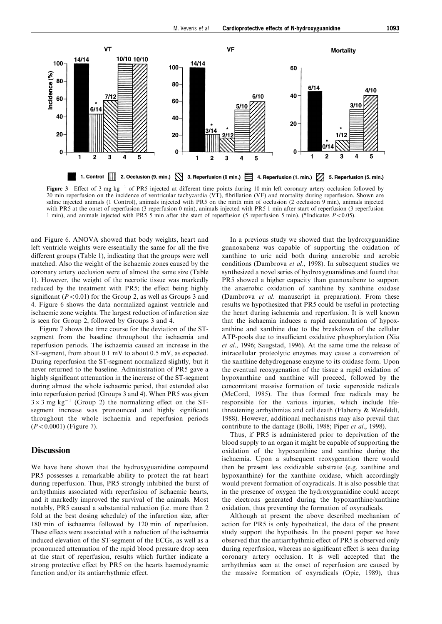

Figure 3 Effect of 3 mg  $kg^{-1}$  of PR5 injected at different time points during 10 min left coronary artery occlusion followed by  $20$  min reperfusion on the incidence of ventricular tachycardia (VT), fibrillation (VF) and mortality during reperfusion. Shown are saline injected animals (1 Control), animals injected with PR5 on the ninth min of occlusion (2 occlusion 9 min), animals injected with PR5 at the onset of reperfusion (3 reperfusion 0 min), animals injected with PR5 1 min after start of reperfusion (3 reperfusion 1 min), and animals injected with PR5 5 min after the start of reperfusion (5 reperfusion 5 min). (\*Indicates P<0.05).

and Figure 6. ANOVA showed that body weights, heart and left ventricle weights were essentially the same for all the five different groups (Table 1), indicating that the groups were well matched. Also the weight of the ischaemic zones caused by the coronary artery occlusion were of almost the same size (Table 1). However, the weight of the necrotic tissue was markedly reduced by the treatment with PR5; the effect being highly significant ( $P < 0.01$ ) for the Group 2, as well as Groups 3 and 4. Figure 6 shows the data normalized against ventricle and ischaemic zone weights. The largest reduction of infarction size is seen for Group 2, followed by Groups 3 and 4.

Figure 7 shows the time course for the deviation of the STsegment from the baseline throughout the ischaemia and reperfusion periods. The ischaemia caused an increase in the ST-segment, from about 0.1 mV to about 0.5 mV, as expected. During reperfusion the ST-segment normalized slightly, but it never returned to the baseline. Administration of PR5 gave a highly significant attenuation in the increase of the ST-segment during almost the whole ischaemic period, that extended also into reperfusion period (Groups 3 and 4). When PR5 was given  $3 \times 3$  mg kg<sup>-1</sup> (Group 2) the normalizing effect on the STsegment increase was pronounced and highly significant throughout the whole ischaemia and reperfusion periods  $(P<0.0001)$  (Figure 7).

# **Discussion**

We have here shown that the hydroxyguanidine compound PR5 possesses a remarkable ability to protect the rat heart during reperfusion. Thus, PR5 strongly inhibited the burst of arrhythmias associated with reperfusion of ischaemic hearts, and it markedly improved the survival of the animals. Most notably, PR5 caused a substantial reduction (i.e. more than 2 fold at the best dosing schedule) of the infarction size, after 180 min of ischaemia followed by 120 min of reperfusion. These effects were associated with a reduction of the ischaemia induced elevation of the ST-segment of the ECGs, as well as a pronounced attenuation of the rapid blood pressure drop seen at the start of reperfusion, results which further indicate a strong protective effect by PR5 on the hearts haemodynamic function and/or its antiarrhythmic effect.

In a previous study we showed that the hydroxyguanidine guanoxabenz was capable of supporting the oxidation of xanthine to uric acid both during anaerobic and aerobic conditions (Dambrova et al., 1998). In subsequent studies we synthesized a novel series of hydroxyguanidines and found that PR5 showed a higher capacity than guanoxabenz to support the anaerobic oxidation of xanthine by xanthine oxidase (Dambrova et al. manuscript in preparation). From these results we hypothesized that PR5 could be useful in protecting the heart during ischaemia and reperfusion. It is well known that the ischaemia induces a rapid accumulation of hypoxanthine and xanthine due to the breakdown of the cellular ATP-pools due to insufficient oxidative phosphorylation (Xia et al., 1996; Saugstad, 1996). At the same time the release of intracellular proteolytic enzymes may cause a conversion of the xanthine dehydrogenase enzyme to its oxidase form. Upon the eventual reoxygenation of the tissue a rapid oxidation of hypoxanthine and xanthine will proceed, followed by the concomitant massive formation of toxic superoxide radicals (McCord, 1985). The thus formed free radicals may be responsible for the various injuries, which include lifethreatening arrhythmias and cell death (Flaherty & Weisfeldt, 1988). However, additional mechanisms may also prevail that contribute to the damage (Bolli, 1988; Piper et al., 1998).

Thus, if PR5 is administered prior to deprivation of the blood supply to an organ it might be capable of supporting the oxidation of the hypoxanthine and xanthine during the ischaemia. Upon a subsequent reoxygenation there would then be present less oxidizable substrate (e.g. xanthine and hypoxanthine) for the xanthine oxidase, which accordingly would prevent formation of oxyradicals. It is also possible that in the presence of oxygen the hydroxyguanidine could accept the electrons generated during the hypoxanthine/xanthine oxidation, thus preventing the formation of oxyradicals.

Although at present the above described mechanism of action for PR5 is only hypothetical, the data of the present study support the hypothesis. In the present paper we have observed that the antiarrhythmic effect of PR5 is observed only during reperfusion, whereas no significant effect is seen during coronary artery occlusion. It is well accepted that the arrhythmias seen at the onset of reperfusion are caused by the massive formation of oxyradicals (Opie, 1989), thus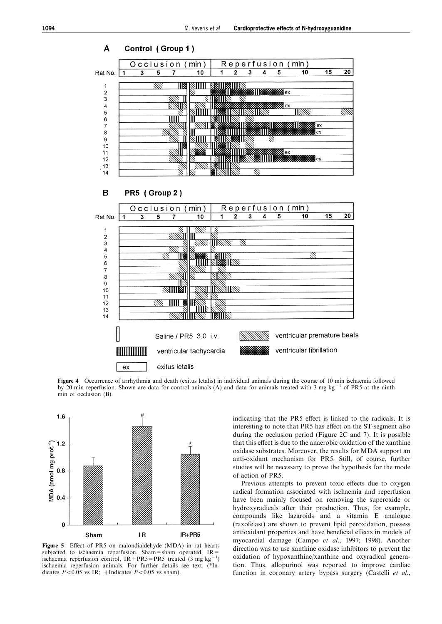

Figure 4 Occurrence of arrhythmia and death (exitus letalis) in individual animals during the course of 10 min ischaemia followed by 20 min reperfusion. Shown are data for control animals (A) and data for animals treated with  $3 \text{ mg kg}^{-1}$  of PR5 at the ninth min of occlusion (B).



Figure 5 Effect of PR5 on malondialdehyde (MDA) in rat hearts subjected to ischaemia reperfusion. Sham=sham operated,  $IR=$ ischaemia reperfusion control,  $IR + PR5 = PR5$  treated (3 mg kg<sup>-1</sup>) ischaemia reperfusion animals. For further details see text. (\*Indicates  $P < 0.05$  vs IR; #Indicates  $P < 0.05$  vs sham).

indicating that the PR5 effect is linked to the radicals. It is interesting to note that PR5 has effect on the ST-segment also during the occlusion period (Figure 2C and 7). It is possible that this effect is due to the anaerobic oxidation of the xanthine oxidase substrates. Moreover, the results for MDA support an anti-oxidant mechanism for PR5. Still, of course, further studies will be necessary to prove the hypothesis for the mode of action of PR5.

Previous attempts to prevent toxic effects due to oxygen radical formation associated with ischaemia and reperfusion have been mainly focused on removing the superoxide or hydroxyradicals after their production. Thus, for example, compounds like lazaroids and a vitamin E analogue (raxofelast) are shown to prevent lipid peroxidation, possess antioxidant properties and have beneficial effects in models of myocardial damage (Campo et al., 1997; 1998). Another direction was to use xanthine oxidase inhibitors to prevent the oxidation of hypoxanthine/xanthine and oxyradical generation. Thus, allopurinol was reported to improve cardiac function in coronary artery bypass surgery (Castelli et al.,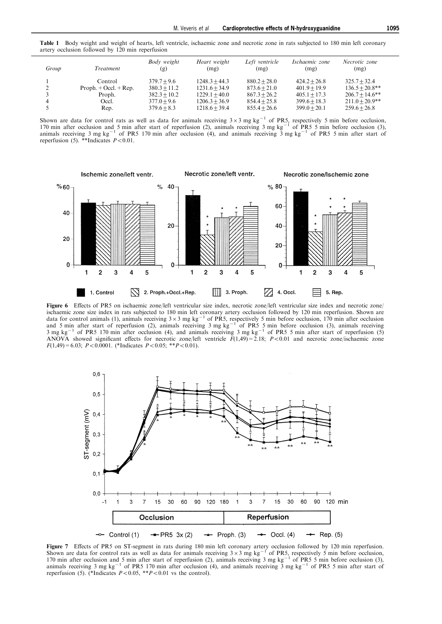Table 1 Body weight and weight of hearts, left ventricle, ischaemic zone and necrotic zone in rats subjected to 180 min left coronary artery occlusion followed by 120 min reperfusion

| Group | Treatment               | Body weight<br>(g) | Heart weight<br>(mg) | Left ventricle<br>(mg) | Ischaemic zone<br>(mg) | Necrotic zone<br>(mg) |
|-------|-------------------------|--------------------|----------------------|------------------------|------------------------|-----------------------|
|       | Control                 | $379.7 + 9.6$      | $1248.3 + 44.3$      | $880.2 + 28.0$         | $424.2 + 26.8$         | $325.7 + 32.4$        |
|       | $Proph. + Occl. + Rep.$ | $380.3 + 11.2$     | $1231.6 + 34.9$      | $873.6 + 21.0$         | $401.9 + 19.9$         | $136.5 + 20.8$ **     |
|       | Proph.                  | $382.3 + 10.2$     | $1229.1 + 40.0$      | $867.3 + 26.2$         | $405.1 + 17.3$         | $206.7 + 14.6$ **     |
|       | Occl.                   | $377.0 + 9.6$      | $1206.3 + 36.9$      | $854.4 + 25.8$         | $399.6 + 18.3$         | $211.0 + 20.9$ **     |
|       | Rep.                    | $379.6 + 8.3$      | $1218.6 + 39.4$      | $855.4 + 26.6$         | $399.0 + 20.1$         | $259.6 + 26.8$        |

Shown are data for control rats as well as data for animals receiving  $3\times3$  mg kg<sup>-1</sup> of PR5, respectively 5 min before occlusion, 170 min after occlusion and 5 min after start of reperfusion (2), animals receiving 3 mg  $kg^{-1}$  of PR5 5 min before occlusion (3), animals receiving 3 mg kg<sup>-1</sup> of PR5 170 min after occlusion (4), and animals receiving 3 mg kg<sup>-1</sup> of PR5 5 min after start of reperfusion (5). \*\*Indicates  $P<0.01$ .



Figure 6 Effects of PR5 on ischaemic zone/left ventricular size index, necrotic zone/left ventricular size index and necrotic zone/ ischaemic zone size index in rats subjected to 180 min left coronary artery occlusion followed by 120 min reperfusion. Shown are<br>data for control animals (1), animals receiving  $3 \times 3$  mg kg<sup>-1</sup> of PR5, respectively 5 min and 5 min after start of reperfusion (2), animals receiving 3 mg kg<sup>-1</sup> of PR5 5 min before occlusion (3), animals receiving 3 mg kg<sup>-1</sup> of PR5 170 min after occlusion (4), and animals receiving 3 mg kg<sup>-1</sup> of PR5 5 min after start of reperfusion (5) ANOVA showed significant effects for necrotic zone/left ventricle  $F(1,49) = 2.18$ ;  $P < 0.01$  and necrotic zone/ischaemic zone  $F(1,49)=6.03; P<0.0001.$  (\*Indicates  $P<0.05;$  \*\* $P<0.01$ ).



**Figure 7** Effects of PR5 on ST-segment in rats during 180 min left coronary artery occlusion followed by 120 min reperfusion.<br>Shown are data for control rats as well as data for animals receiving  $3 \times 3$  mg kg<sup>-1</sup> of PR5 170 min after occlusion and 5 min after start of reperfusion (2), animals receiving 3 mg kg<sup>-1</sup> of PR5 5 min before occlusion (3), animals receiving 3 mg kg<sup>-1</sup> of PR5 170 min after occlusion (4), and animals receiving 3 mg kg<sup>-1</sup> of PR5 5 min after start of reperfusion (5). (\*Indicates  $P<0.05$ , \*\* $P<0.01$  vs the control).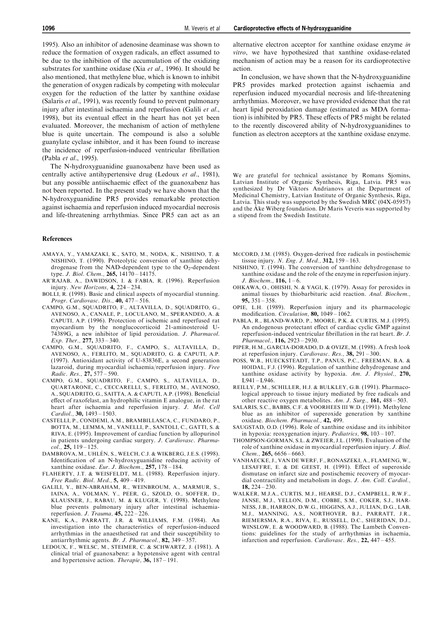1995). Also an inhibitor of adenosine deaminase was shown to reduce the formation of oxygen radicals, an effect assumed to be due to the inhibition of the accumulation of the oxidizing substrates for xanthine oxidase (Xia et al., 1996). It should be also mentioned, that methylene blue, which is known to inhibit the generation of oxygen radicals by competing with molecular oxygen for the reduction of the latter by xanthine oxidase (Salaris et al., 1991), was recently found to prevent pulmonary injury after intestinal ischaemia and reperfusion (Galili et al., 1998), but its eventual effect in the heart has not yet been evaluated. Moreover, the mechanism of action of methylene blue is quite uncertain. The compound is also a soluble guanylate cyclase inhibitor, and it has been found to increase the incidence of reperfusion-induced ventricular fibrillation (Pabla et al., 1995).

The N-hydroxyguanidine guanoxabenz have been used as centrally active antihypertensive drug (Ledoux et al., 1981), but any possible antiischaemic effect of the guanoxabenz has not been reported. In the present study we have shown that the N-hydroxyguanidine PR5 provides remarkable protection against ischaemia and reperfusion induced myocardial necrosis and life-threatening arrhythmias. Since PR5 can act as an

#### References

- AMAYA, Y., YAMAZAKI, K., SATO, M., NODA, K., NISHINO, T. & NISHINO, T. (1990). Proteolytic conversion of xanthine dehydrogenase from the NAD-dependent type to the  $O_2$ -dependent type. J. Biol. Chem., 265, 14170-14175.
- AR'RAJAB, A., DAWIDSON, I. & FABIA, R. (1996). Reperfusion injury. New Horizons,  $4$ ,  $224 - 234$ .
- BOLLI, R. (1998). Basic and clinical aspects of myocardial stunning. Progr. Cardiovasc. Dis.,  $40, 477 - 516$ .
- CAMPO, G.M., SQUADRITO, F., ALTAVILLA, D., SQUADRITO, G., AVENOSO, A., CANALE, P., LOCULANO, M., SPERANDEO, A. & CAPUTI, A.P. (1996). Protection of ischemic and reperfused rat myocardium by the nonglucocorticoid 21-aminosteroid U-74389G, a new inhibitor of lipid peroxidation. J. Pharmacol. Exp. Ther.,  $277, 333 - 340$ .
- CAMPO, G.M., SQUADRITO, F., CAMPO, S., ALTAVILLA, D., AVENOSO, A., FERLITO, M., SQUADRITO, G. & CAPUTI, A.P. (1997). Antioxidant activity of U-83836E, a second generation lazaroid, during myocardial ischaemia/reperfusion injury. Free Radic. Res., 27, 577-590.
- CAMPO, G.M., SQUADRITO, F., CAMPO, S., ALTAVILLA, D., QUARTARONE, C., CECCARELLI, S., FERLITO, M., AVENOSO, A., SQUADRITO, G., SAITTA, A. & CAPUTI, A.P. (1998). Beneficial effect of raxofelast, an hydrophilic vitamin E analogue, in the rat heart after ischaemia and reperfusion injury. J. Mol. Cell  $Cardiol., 30, 1493 - 1503.$
- CASTELLI, P., CONDEMI, A.M., BRAMBILLASCA, C., FUNDARO, P., BOTTA, M., LEMMA, M., VANELLI, P., SANTOLI, C., GATTI, S. & RIVA, E. (1995). Improvement of cardiac function by allopurinol in patients undergoing cardiac surgery. J. Cardiovasc. Pharma $col.$  25,  $119 - 125$
- DAMBROVA, M., UHLÉN, S., WELCH, C.J. & WIKBERG, J.E.S. (1998). Identification of an N-hydroxyguanidine reducing activity of xanthine oxidase. Eur. J. Biochem.,  $257$ ,  $178 - 184$ .
- FLAHERTY, J.T. & WEISFELDT, M.L. (1988). Reperfusion injury.  $Free$  Radic. Biol. Med.,  $5, 409 - 419$ .
- GALILI, Y., BEN-ABRAHAM, R., WEINBROUM, A., MARMUR, S., IAINA, A., VOLMAN, Y., PEER, G., SZOLD, O., SOFFER, D., KLAUSNER, J., RABAU, M. & KLUGER, Y. (1998). Methylene blue prevents pulmonary injury after intestinal ischaemiareperfusion. J. Trauma,  $45$ ,  $222 - 226$ .
- KANE, K.A., PARRATT, J.R. & WILLIAMS, F.M. (1984). An investigation into the characteristics of reperfusion-induced arrhythmias in the anaesthetised rat and their susceptibility to antiarrhythmic agents. Br. J. Pharmacol.,  $82$ ,  $349 - 357$ .
- LEDOUX, F., WELSC, M., STEIMER, C. & SCHWARTZ, J. (1981). A clinical trial of guanoxabenz: a hypotensive agent with central and hypertensive action. *Therapie*, **36**,  $187 - 191$ .

alternative electron acceptor for xanthine oxidase enzyme in vitro, we have hypothesized that xanthine oxidase-related mechanism of action may be a reason for its cardioprotective action.

In conclusion, we have shown that the N-hydroxyguanidine PR5 provides marked protection against ischaemia and reperfusion induced myocardial necrosis and life-threatening arrhythmias. Moreover, we have provided evidence that the rat heart lipid peroxidation damage (estimated as MDA formation) is inhibited by PR5. These effects of PR5 might be related to the recently discovered ability of N-hydroxyguanidines to function as electron acceptors at the xanthine oxidase enzyme.

We are grateful for technical assistance by Romans Sjomins, Latvian Institute of Organic Synthesis, Riga, Latvia. PR5 was synthesized by Dr Viktors Andrianovs at the Department of Medicinal Chemistry, Latvian Institute of Organic Synthesis, Riga, Latvia. This study was supported by the Swedish MRC (04X-05957) and the Åke Wiberg foundation. Dr Maris Veveris was supported by a stipend from the Swedish Institute.

- MCCORD, J.M. (1985). Oxygen-derived free radicals in postischemic tissue injury. N. Eng. J. Med.,  $312$ ,  $159 - 163$ .
- NISHINO, T. (1994). The conversion of xanthine dehydrogenase to xanthine oxidase and the role of the enzyme in reperfusion injury. J. Biochem.,  $116, 1-6$ .
- OHKAWA, O., OHISHI, N. & YAGI, K. (1979). Assay for peroxides in animal tissues by thiobarbituric acid reaction. Anal. Biochem., 95,  $351 - 358$ .
- OPIE, L.H. (1989). Reperfusion injury and its pharmacologic modification. Circulation,  $80$ ,  $1049 - 1062$ .
- PABLA, R., BLAND-WARD, P., MOORE, P.K. & CURTIS, M.J. (1995). An endogenous protectant effect of cardiac cyclic GMP against reperfusion-induced ventricular fibrillation in the rat heart. Br.  $J$ . Pharmacol., 116, 2923-2930.
- PIPER, H.M., GARCIA-DORADO, D. & OVIZE, M. (1998). A fresh look at reperfusion injury. Cardiovasc. Res.,  $38$ ,  $291 - 300$ .
- POSS, W.B., HUECKSTEADT, T.P., PANUS, P.C., FREEMAN, B.A. & HOIDAL, F.J. (1996). Regulation of xanthine dehydrogenase and xanthine oxidase activity by hypoxia. Am. J. Physiol., 270,  $L941 - L946.$
- REILLY, P.M., SCHILLER, H.J. & BULKLEY, G.B. (1991). Pharmacological approach to tissue injury mediated by free radicals and other reactive oxygen metabolites. Am. J. Surg.,  $161$ ,  $488 - 503$ .
- SALARIS, S.C., BABBS, C.F. & VOORHEES III W.D. (1991). Methylene blue as an inhibitor of superoxide generation by xanthine oxidase. Biochem. Pharmacol., 42, 499.
- SAUGSTAD, O.D. (1996). Role of xanthine oxidase and its inhibitor in hypoxia: reoxygenation injury. Pediatrics,  $98$ ,  $103 - 107$ .
- THOMPSON-GORMAN, S.L. & ZWEIER, J.L. (1990). Evaluation of the role of xanthine oxidase in myocardial reperfusion injury. J. Biol. Chem.,  $265, 6656 - 6663$ .
- VANHAECKE, J., VAN DE WERF, F., RONASZEKI, A., FLAMENG, W., LESAFFRE, E. & DE GEEST, H. (1991). Effect of superoxide dismutase on infarct size and postischemic recovery of myocardial contractility and metabolism in dogs. J. Am. Coll. Cardiol., 18,  $224 - 230$ .
- WALKER, M.J.A., CURTIS, M.J., HEARSE, D.J., CAMPBELL, R.W.F., JANSE, M.J., YELLON, D.M., COBBE, S.M., COKER, S.J., HAR-NESS, J.B., HARRON, D.W.G., HIGGINS, A.J., JULIAN, D.G., LAB, M.J., MANNING, A.S., NORTHOVER, B.J., PARRATT, J.R., RIEMERSMA, R.A., RIVA, E., RUSSELL, D.C., SHERIDAN, D.J., WINSLOW, E. & WOODWARD, B. (1988). The Lambeth Conventions: guidelines for the study of arrhythmias in ischaemia, infarction and reperfusion. Cardiovasc. Res., 22, 447-455.